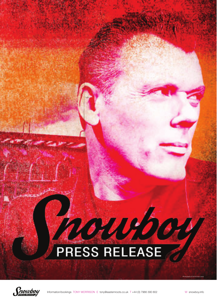## PROUGOUT





Information/bookings TONY MORRISON E tony@easternroots.co.uk T +44 (0) 7966 390 802 W snowboy.info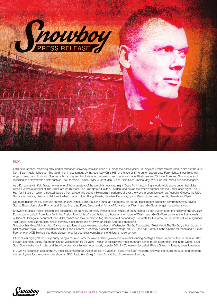

## BIOG

Latin percussionist, recording artist and band leader, Snowboy, has also been a DJ since the classic Jazz Funk days of 1978 where he used to hire out the UK's No 1 Black music night club, 'The Goldmine' (made famous by the legendary Chris Hill), at the age of 17 to put on special Jazz Funk nights. It was his knowledge of Jazz, Latin, Funk and Soul records that inspired him to take up percussion and has since made 16 albums and 22 Latin, Funk and Soul singles and recorded and played with artists such as Lisa Stansfield, James Taylor Quartet, Jon Lucien, Sam Dees, Imelda May, Mick Hucknall, Mica Paris and Incognito.

As a DJ, along with Keb Darge he was one of the originators of the world-famous club night 'Deep Funk', spawning a world-wide scene under that clubs name. He was a resident at The Jazz Café for 16 years, The Blue Note in Hoxton, London, and he ran the world's number one real Jazz Dance night,'The Hi-Hat' for 13 years – which attracted dancers from all over the country. He regularly performs all over the world in countries such as Australia, Greece, the USA, Singapore, France, Germany, Belgium, Holland, Japan, Hong Kong, Russia, Sweden, Denmark, Spain, Bangkok, Norway, the UK, Canada and Spain.

Not to be pigeon-holed, although known for Jazz Dance, Latin, Soul and Funk, as a collector, his 30,000 piece record collection comprehensively covers Swing, Blues, Jump Jive, Rhythm and Blues, Ska, Jazz Funk, Disco and all forms of Funk such as Washington Go-Go amongst many other styles.

Snowboy is also a music historian and considered an authority on many styles of Black music. In 2009 he had a book published on the history of the UK Jazz Dance scene called "From Jazz Funk And Fusion To Acid Jazz", contributed to a book on the history of Washington Go-Go Funk and was the first journalist outside of Chicago to document their 'Juke music' and their corresponding dance style 'Footworking'. He wrote for the famous Funk and Hip Hop magazines 'Big Daddy' and 'Grand Slam' and is currently a columnist and reviewer for 'Blues And Soul' magazine.

Snowboy has three 'Hi-Hat' Jazz Dance compilations already released, another of Washington Go-Go Funk, called 'Meet Me At The Go-Go', a Mambo compilation called 'Afro Cuban Kaleidoscope' for Fania Records, 'Snowboy presents New Vintage' on BBE (and has 8 others in the pipeline for them) and a 'Good Foot' one for ACE. He has also done sleeve-notes for countless compilations of different music genres.

Other career highlights include proudly being a music curator for Wayne Hemingway's annual award-winning 'Vintage Festival', a part of the DJ team for Alex Lowes' legendary yearly 'Southport Dance Weekender' for 21 years – which is possibly the most important dance music event of its kind in the world, 'Love Soul' Soul weekender in Ibiza and Snowboy even runs his own enormously popular 30's & 40's weekender called 'Riviera Swing' in Torquay every November.

In 2006 he featured in a list of the 40 most influential British DJ's of the last 40 years in 'Blues And Soul' magazine and was the music producer and programmer for 4 years for the number one show on BBC Radio 6 – 'Craig Charles Funk & Soul Show' every Saturday.